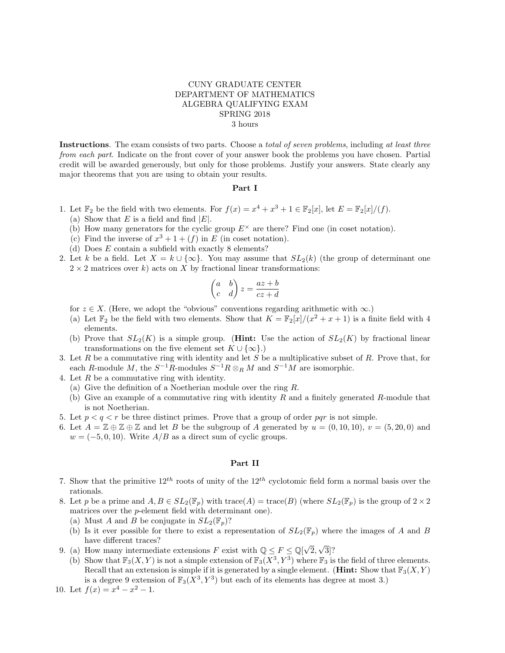## CUNY GRADUATE CENTER DEPARTMENT OF MATHEMATICS ALGEBRA QUALIFYING EXAM SPRING 2018 3 hours

Instructions. The exam consists of two parts. Choose a *total of seven problems*, including at least three from each part. Indicate on the front cover of your answer book the problems you have chosen. Partial credit will be awarded generously, but only for those problems. Justify your answers. State clearly any major theorems that you are using to obtain your results.

## Part I

- 1. Let  $\mathbb{F}_2$  be the field with two elements. For  $f(x) = x^4 + x^3 + 1 \in \mathbb{F}_2[x]$ , let  $E = \mathbb{F}_2[x]/(f)$ .
	- (a) Show that E is a field and find  $|E|$ .
	- (b) How many generators for the cyclic group  $E^{\times}$  are there? Find one (in coset notation).
	- (c) Find the inverse of  $x^3 + 1 + (f)$  in E (in coset notation).
	- (d) Does E contain a subfield with exactly 8 elements?
- 2. Let k be a field. Let  $X = k \cup \{\infty\}$ . You may assume that  $SL_2(k)$  (the group of determinant one  $2 \times 2$  matrices over k) acts on X by fractional linear transformations:

$$
\begin{pmatrix} a & b \\ c & d \end{pmatrix} z = \frac{az+b}{cz+d}
$$

- for  $z \in X$ . (Here, we adopt the "obvious" conventions regarding arithmetic with  $\infty$ .)
- (a) Let  $\mathbb{F}_2$  be the field with two elements. Show that  $K = \mathbb{F}_2[x]/(x^2 + x + 1)$  is a finite field with 4 elements.
- (b) Prove that  $SL_2(K)$  is a simple group. (**Hint:** Use the action of  $SL_2(K)$  by fractional linear transformations on the five element set  $K \cup \{\infty\}$ .)
- 3. Let  $R$  be a commutative ring with identity and let  $S$  be a multiplicative subset of  $R$ . Prove that, for each R-module M, the  $S^{-1}R$ -modules  $S^{-1}R \otimes_R M$  and  $S^{-1}M$  are isomorphic.
- 4. Let R be a commutative ring with identity.
	- (a) Give the definition of a Noetherian module over the ring R.
	- (b) Give an example of a commutative ring with identity R and a finitely generated R-module that is not Noetherian.
- 5. Let  $p < q < r$  be three distinct primes. Prove that a group of order pqr is not simple.
- 6. Let  $A = \mathbb{Z} \oplus \mathbb{Z} \oplus \mathbb{Z}$  and let B be the subgroup of A generated by  $u = (0, 10, 10)$ ,  $v = (5, 20, 0)$  and  $w = (-5, 0, 10)$ . Write  $A/B$  as a direct sum of cyclic groups.

## Part II

- 7. Show that the primitive  $12^{th}$  roots of unity of the  $12^{th}$  cyclotomic field form a normal basis over the rationals.
- 8. Let p be a prime and  $A, B \in SL_2(\mathbb{F}_p)$  with  $trace(A) = trace(B)$  (where  $SL_2(\mathbb{F}_p)$  is the group of  $2 \times 2$ ) matrices over the p-element field with determinant one).
	- (a) Must A and B be conjugate in  $SL_2(\mathbb{F}_p)$ ?
	- (b) Is it ever possible for there to exist a representation of  $SL_2(\mathbb{F}_p)$  where the images of A and B have different traces? √
- 9. (a) How many intermediate extensions F exist with  $\mathbb{Q} \leq F \leq \mathbb{Q}[\sqrt{2}]$ 2, 3]?
- (b) Show that  $\mathbb{F}_3(X, Y)$  is not a simple extension of  $\mathbb{F}_3(X^3, Y^3)$  where  $\mathbb{F}_3$  is the field of three elements. Recall that an extension is simple if it is generated by a single element. (**Hint:** Show that  $\mathbb{F}_3(X, Y)$ is a degree 9 extension of  $\mathbb{F}_3(X^3, Y^3)$  but each of its elements has degree at most 3.)

10. Let  $f(x) = x^4 - x^2 - 1$ .